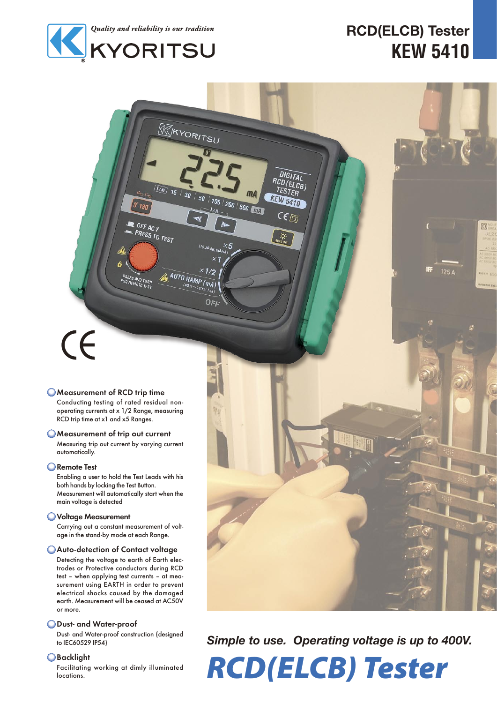

 $0°$ 180

 $0$ FF ACV

**PRESS AND TURN**<br>FOR REMOTE TEST

**PRESS TO TEST** 

## **RCD(ELCB) Tester KEW 5410**

# $C\epsilon$

#### Measurement of RCD trip time

Conducting testing of rated residual nonoperating currents at x 1/2 Range, measuring RCD trip time at x1 and x5 Ranges.

#### Measurement of trip out current

Measuring trip out current by varying current automatically.

#### **Remote Test**

Enabling a user to hold the Test Leads with his both hands by locking the Test Button. Measurement will automatically start when the main voltage is detected

#### Voltage Measurement

Carrying out a constant measurement of voltage in the stand-by mode at each Range.

#### Auto-detection of Contact voltage

Detecting the voltage to earth of Earth electrodes or Protective conductors during RCD test – when applying test currents – at measurement using EARTH in order to prevent electrical shocks caused by the damaged earth. Measurement will be ceased at AC50V or more.

#### Dust- and Water-proof

Dust- and Water-proof construction (designed to IEC60529 IP54)

#### **OBacklight**

Facilitating working at dimly illuminated locations.



*Simple to use. Operating voltage is up to 400V.*

RCD(ELCB) Tester